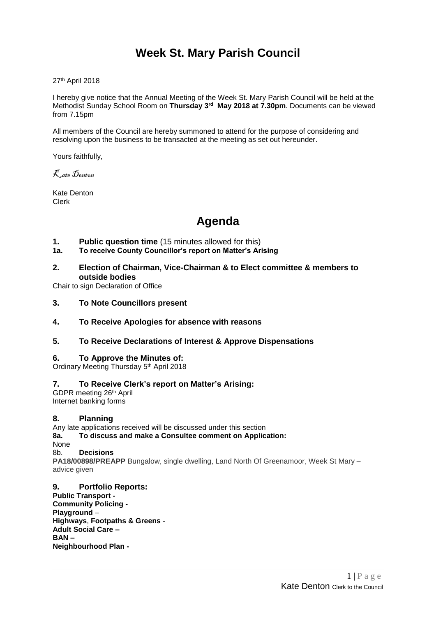# **Week St. Mary Parish Council**

27<sup>th</sup> April 2018

I hereby give notice that the Annual Meeting of the Week St. Mary Parish Council will be held at the Methodist Sunday School Room on **Thursday 3 rd May 2018 at 7.30pm**. Documents can be viewed from 7.15pm

All members of the Council are hereby summoned to attend for the purpose of considering and resolving upon the business to be transacted at the meeting as set out hereunder.

Yours faithfully,

Kate Denton

Kate Denton Clerk

# **Agenda**

#### **1. Public question time** (15 minutes allowed for this)

#### **1a. To receive County Councillor's report on Matter's Arising**

**2. Election of Chairman, Vice-Chairman & to Elect committee & members to outside bodies**

Chair to sign Declaration of Office

**3. To Note Councillors present**

#### **4. To Receive Apologies for absence with reasons**

**5. To Receive Declarations of Interest & Approve Dispensations**

#### **6. To Approve the Minutes of:**

Ordinary Meeting Thursday 5<sup>th</sup> April 2018

#### **7. To Receive Clerk's report on Matter's Arising:**

GDPR meeting 26th April Internet banking forms

#### **8. Planning**

Any late applications received will be discussed under this section **8a. To discuss and make a Consultee comment on Application:** None 8b. **Decisions PA18/00898/PREAPP** Bungalow, single dwelling, Land North Of Greenamoor, Week St Mary – advice given

**9. Portfolio Reports: Public Transport - Community Policing - Playground** – **Highways**, **Footpaths & Greens** - **Adult Social Care – BAN – Neighbourhood Plan -**